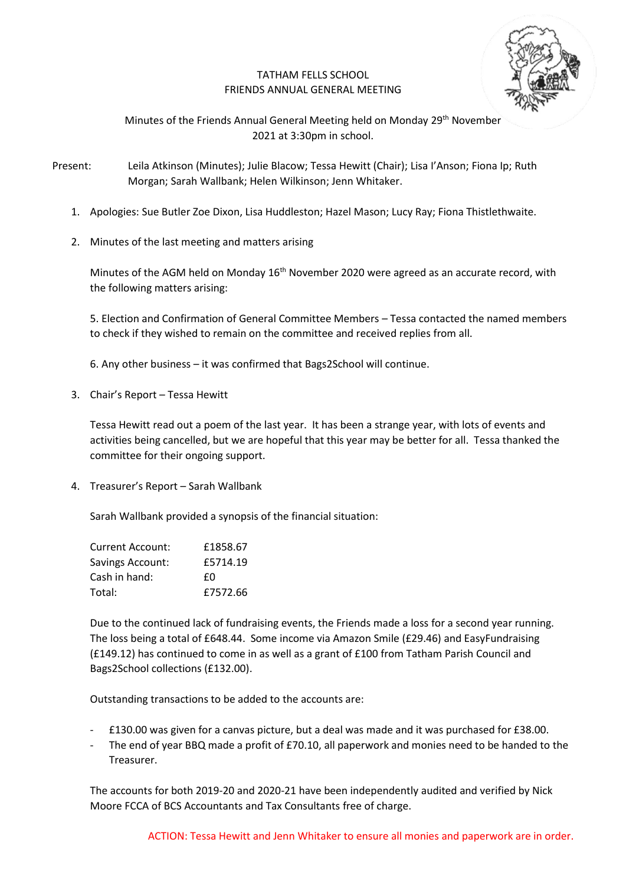# TATHAM FELLS SCHOOL FRIENDS ANNUAL GENERAL MEETING



Minutes of the Friends Annual General Meeting held on Monday 29<sup>th</sup> November 2021 at 3:30pm in school.

Present: Leila Atkinson (Minutes); Julie Blacow; Tessa Hewitt (Chair); Lisa I'Anson; Fiona Ip; Ruth Morgan; Sarah Wallbank; Helen Wilkinson; Jenn Whitaker.

- 1. Apologies: Sue Butler Zoe Dixon, Lisa Huddleston; Hazel Mason; Lucy Ray; Fiona Thistlethwaite.
- 2. Minutes of the last meeting and matters arising

Minutes of the AGM held on Monday 16<sup>th</sup> November 2020 were agreed as an accurate record, with the following matters arising:

5. Election and Confirmation of General Committee Members – Tessa contacted the named members to check if they wished to remain on the committee and received replies from all.

6. Any other business – it was confirmed that Bags2School will continue.

3. Chair's Report – Tessa Hewitt

Tessa Hewitt read out a poem of the last year. It has been a strange year, with lots of events and activities being cancelled, but we are hopeful that this year may be better for all. Tessa thanked the committee for their ongoing support.

4. Treasurer's Report – Sarah Wallbank

Sarah Wallbank provided a synopsis of the financial situation:

| Current Account: | £1858.67 |
|------------------|----------|
| Savings Account: | £5714.19 |
| Cash in hand:    | £Ω       |
| Total:           | £7572.66 |

Due to the continued lack of fundraising events, the Friends made a loss for a second year running. The loss being a total of £648.44. Some income via Amazon Smile (£29.46) and EasyFundraising (£149.12) has continued to come in as well as a grant of £100 from Tatham Parish Council and Bags2School collections (£132.00).

Outstanding transactions to be added to the accounts are:

- £130.00 was given for a canvas picture, but a deal was made and it was purchased for £38.00.
- The end of year BBQ made a profit of £70.10, all paperwork and monies need to be handed to the Treasurer.

The accounts for both 2019-20 and 2020-21 have been independently audited and verified by Nick Moore FCCA of BCS Accountants and Tax Consultants free of charge.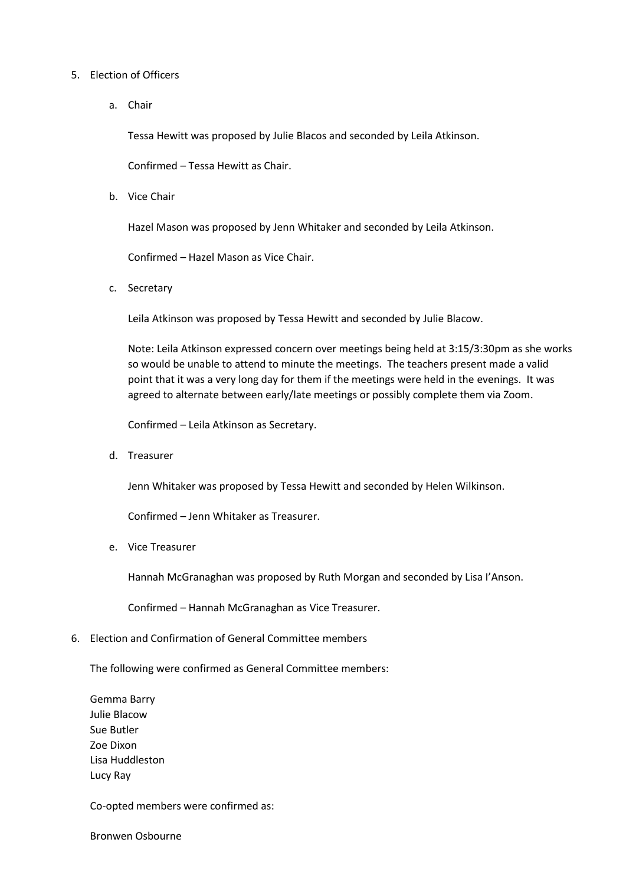#### 5. Election of Officers

a. Chair

Tessa Hewitt was proposed by Julie Blacos and seconded by Leila Atkinson.

Confirmed – Tessa Hewitt as Chair.

b. Vice Chair

Hazel Mason was proposed by Jenn Whitaker and seconded by Leila Atkinson.

Confirmed – Hazel Mason as Vice Chair.

c. Secretary

Leila Atkinson was proposed by Tessa Hewitt and seconded by Julie Blacow.

Note: Leila Atkinson expressed concern over meetings being held at 3:15/3:30pm as she works so would be unable to attend to minute the meetings. The teachers present made a valid point that it was a very long day for them if the meetings were held in the evenings. It was agreed to alternate between early/late meetings or possibly complete them via Zoom.

Confirmed – Leila Atkinson as Secretary.

d. Treasurer

Jenn Whitaker was proposed by Tessa Hewitt and seconded by Helen Wilkinson.

Confirmed – Jenn Whitaker as Treasurer.

e. Vice Treasurer

Hannah McGranaghan was proposed by Ruth Morgan and seconded by Lisa I'Anson.

Confirmed – Hannah McGranaghan as Vice Treasurer.

6. Election and Confirmation of General Committee members

The following were confirmed as General Committee members:

Gemma Barry Julie Blacow Sue Butler Zoe Dixon Lisa Huddleston Lucy Ray

Co-opted members were confirmed as:

Bronwen Osbourne